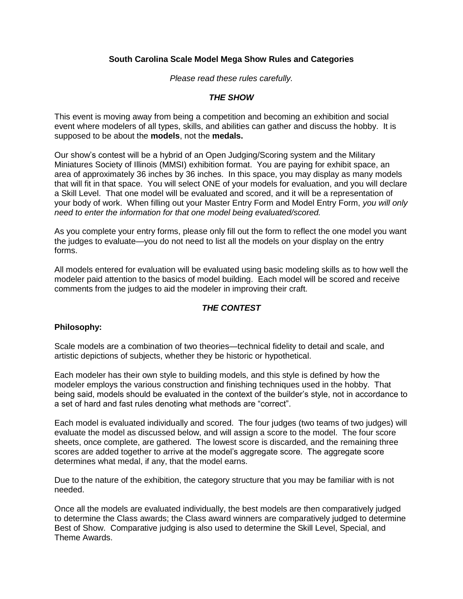# **South Carolina Scale Model Mega Show Rules and Categories**

*Please read these rules carefully.* 

# *THE SHOW*

This event is moving away from being a competition and becoming an exhibition and social event where modelers of all types, skills, and abilities can gather and discuss the hobby. It is supposed to be about the **models**, not the **medals.**

Our show's contest will be a hybrid of an Open Judging/Scoring system and the Military Miniatures Society of Illinois (MMSI) exhibition format. You are paying for exhibit space, an area of approximately 36 inches by 36 inches. In this space, you may display as many models that will fit in that space. You will select ONE of your models for evaluation, and you will declare a Skill Level. That one model will be evaluated and scored, and it will be a representation of your body of work. When filling out your Master Entry Form and Model Entry Form, *you will only need to enter the information for that one model being evaluated/scored.*

As you complete your entry forms, please only fill out the form to reflect the one model you want the judges to evaluate—you do not need to list all the models on your display on the entry forms.

All models entered for evaluation will be evaluated using basic modeling skills as to how well the modeler paid attention to the basics of model building. Each model will be scored and receive comments from the judges to aid the modeler in improving their craft.

# *THE CONTEST*

# **Philosophy:**

Scale models are a combination of two theories—technical fidelity to detail and scale, and artistic depictions of subjects, whether they be historic or hypothetical.

Each modeler has their own style to building models, and this style is defined by how the modeler employs the various construction and finishing techniques used in the hobby. That being said, models should be evaluated in the context of the builder's style, not in accordance to a set of hard and fast rules denoting what methods are "correct".

Each model is evaluated individually and scored. The four judges (two teams of two judges) will evaluate the model as discussed below, and will assign a score to the model. The four score sheets, once complete, are gathered. The lowest score is discarded, and the remaining three scores are added together to arrive at the model's aggregate score. The aggregate score determines what medal, if any, that the model earns.

Due to the nature of the exhibition, the category structure that you may be familiar with is not needed.

Once all the models are evaluated individually, the best models are then comparatively judged to determine the Class awards; the Class award winners are comparatively judged to determine Best of Show. Comparative judging is also used to determine the Skill Level, Special, and Theme Awards.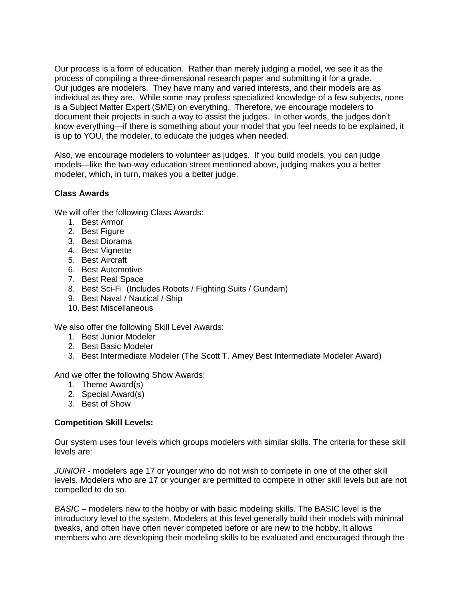Our process is a form of education. Rather than merely judging a model, we see it as the process of compiling a three-dimensional research paper and submitting it for a grade. Our judges are modelers. They have many and varied interests, and their models are as individual as they are. While some may profess specialized knowledge of a few subjects, none is a Subject Matter Expert (SME) on everything. Therefore, we encourage modelers to document their projects in such a way to assist the judges. In other words, the judges don't know everything—if there is something about your model that you feel needs to be explained, it is up to YOU, the modeler, to educate the judges when needed.

Also, we encourage modelers to volunteer as judges. If you build models, you can judge models—like the two-way education street mentioned above, judging makes you a better modeler, which, in turn, makes you a better judge.

# **Class Awards**

We will offer the following Class Awards:

- 1. Best Armor
- 2. Best Figure
- 3. Best Diorama
- 4. Best Vignette
- 5. Best Aircraft
- 6. Best Automotive
- 7. Best Real Space
- 8. Best Sci-Fi (Includes Robots / Fighting Suits / Gundam)
- 9. Best Naval / Nautical / Ship
- 10. Best Miscellaneous

We also offer the following Skill Level Awards:

- 1. Best Junior Modeler
- 2. Best Basic Modeler
- 3. Best Intermediate Modeler (The Scott T. Amey Best Intermediate Modeler Award)

And we offer the following Show Awards:

- 1. Theme Award(s)
- 2. Special Award(s)
- 3. Best of Show

# **Competition Skill Levels:**

Our system uses four levels which groups modelers with similar skills. The criteria for these skill levels are:

*JUNIOR* - modelers age 17 or younger who do not wish to compete in one of the other skill levels. Modelers who are 17 or younger are permitted to compete in other skill levels but are not compelled to do so.

*BASIC* – modelers new to the hobby or with basic modeling skills. The BASIC level is the introductory level to the system. Modelers at this level generally build their models with minimal tweaks, and often have often never competed before or are new to the hobby. It allows members who are developing their modeling skills to be evaluated and encouraged through the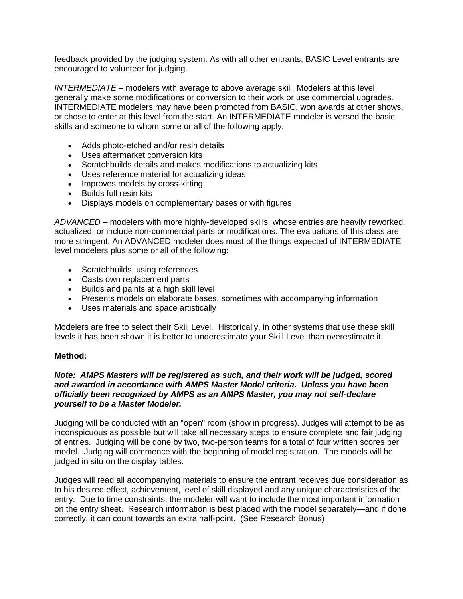feedback provided by the judging system. As with all other entrants, BASIC Level entrants are encouraged to volunteer for judging.

*INTERMEDIATE* – modelers with average to above average skill. Modelers at this level generally make some modifications or conversion to their work or use commercial upgrades. INTERMEDIATE modelers may have been promoted from BASIC, won awards at other shows, or chose to enter at this level from the start. An INTERMEDIATE modeler is versed the basic skills and someone to whom some or all of the following apply:

- Adds photo-etched and/or resin details
- Uses aftermarket conversion kits
- Scratchbuilds details and makes modifications to actualizing kits
- Uses reference material for actualizing ideas
- Improves models by cross-kitting
- Builds full resin kits
- Displays models on complementary bases or with figures

*ADVANCED* – modelers with more highly-developed skills, whose entries are heavily reworked, actualized, or include non-commercial parts or modifications. The evaluations of this class are more stringent. An ADVANCED modeler does most of the things expected of INTERMEDIATE level modelers plus some or all of the following:

- Scratchbuilds, using references
- Casts own replacement parts
- Builds and paints at a high skill level
- Presents models on elaborate bases, sometimes with accompanying information
- Uses materials and space artistically

Modelers are free to select their Skill Level. Historically, in other systems that use these skill levels it has been shown it is better to underestimate your Skill Level than overestimate it.

#### **Method:**

### *Note: AMPS Masters will be registered as such, and their work will be judged, scored and awarded in accordance with AMPS Master Model criteria. Unless you have been officially been recognized by AMPS as an AMPS Master, you may not self-declare yourself to be a Master Modeler.*

Judging will be conducted with an "open" room (show in progress). Judges will attempt to be as inconspicuous as possible but will take all necessary steps to ensure complete and fair judging of entries. Judging will be done by two, two-person teams for a total of four written scores per model. Judging will commence with the beginning of model registration. The models will be judged in situ on the display tables.

Judges will read all accompanying materials to ensure the entrant receives due consideration as to his desired effect, achievement, level of skill displayed and any unique characteristics of the entry. Due to time constraints, the modeler will want to include the most important information on the entry sheet. Research information is best placed with the model separately—and if done correctly, it can count towards an extra half-point. (See Research Bonus)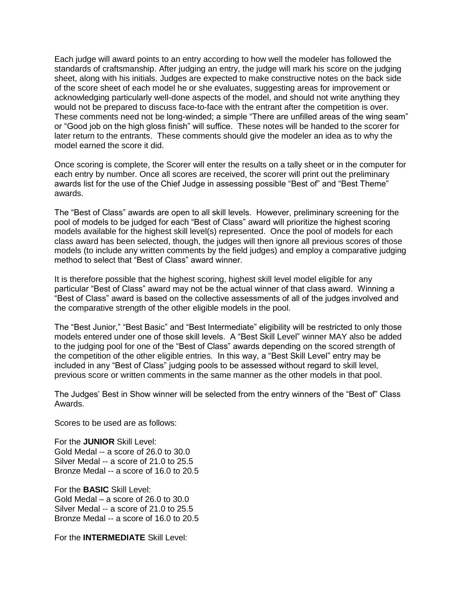Each judge will award points to an entry according to how well the modeler has followed the standards of craftsmanship. After judging an entry, the judge will mark his score on the judging sheet, along with his initials. Judges are expected to make constructive notes on the back side of the score sheet of each model he or she evaluates, suggesting areas for improvement or acknowledging particularly well-done aspects of the model, and should not write anything they would not be prepared to discuss face-to-face with the entrant after the competition is over. These comments need not be long-winded; a simple "There are unfilled areas of the wing seam" or "Good job on the high gloss finish" will suffice. These notes will be handed to the scorer for later return to the entrants. These comments should give the modeler an idea as to why the model earned the score it did.

Once scoring is complete, the Scorer will enter the results on a tally sheet or in the computer for each entry by number. Once all scores are received, the scorer will print out the preliminary awards list for the use of the Chief Judge in assessing possible "Best of" and "Best Theme" awards.

The "Best of Class" awards are open to all skill levels. However, preliminary screening for the pool of models to be judged for each "Best of Class" award will prioritize the highest scoring models available for the highest skill level(s) represented. Once the pool of models for each class award has been selected, though, the judges will then ignore all previous scores of those models (to include any written comments by the field judges) and employ a comparative judging method to select that "Best of Class" award winner.

It is therefore possible that the highest scoring, highest skill level model eligible for any particular "Best of Class" award may not be the actual winner of that class award. Winning a "Best of Class" award is based on the collective assessments of all of the judges involved and the comparative strength of the other eligible models in the pool.

The "Best Junior," "Best Basic" and "Best Intermediate" eligibility will be restricted to only those models entered under one of those skill levels. A "Best Skill Level" winner MAY also be added to the judging pool for one of the "Best of Class" awards depending on the scored strength of the competition of the other eligible entries. In this way, a "Best Skill Level" entry may be included in any "Best of Class" judging pools to be assessed without regard to skill level, previous score or written comments in the same manner as the other models in that pool.

The Judges' Best in Show winner will be selected from the entry winners of the "Best of" Class Awards.

Scores to be used are as follows:

For the **JUNIOR** Skill Level: Gold Medal -- a score of 26.0 to 30.0 Silver Medal -- a score of 21.0 to 25.5 Bronze Medal -- a score of 16.0 to 20.5

For the **BASIC** Skill Level: Gold Medal – a score of 26.0 to 30.0 Silver Medal -- a score of 21.0 to 25.5 Bronze Medal -- a score of 16.0 to 20.5

For the **INTERMEDIATE** Skill Level: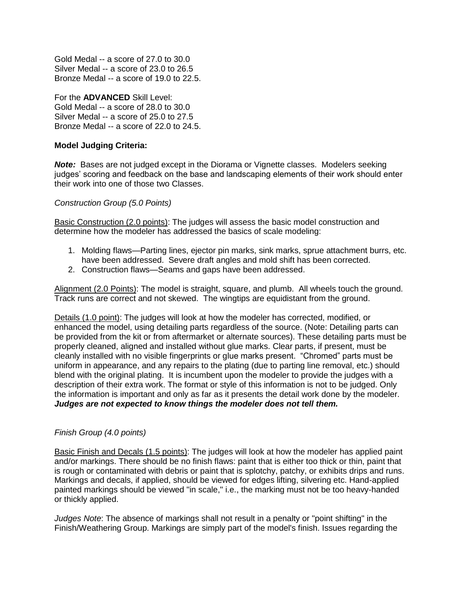Gold Medal -- a score of 27.0 to 30.0 Silver Medal -- a score of 23.0 to 26.5 Bronze Medal -- a score of 19.0 to 22.5.

For the **ADVANCED** Skill Level: Gold Medal -- a score of 28.0 to 30.0 Silver Medal -- a score of 25.0 to 27.5 Bronze Medal -- a score of 22.0 to 24.5.

# **Model Judging Criteria:**

**Note:** Bases are not judged except in the Diorama or Vignette classes. Modelers seeking judges' scoring and feedback on the base and landscaping elements of their work should enter their work into one of those two Classes.

*Construction Group (5.0 Points)*

Basic Construction (2.0 points): The judges will assess the basic model construction and determine how the modeler has addressed the basics of scale modeling:

- 1. Molding flaws—Parting lines, ejector pin marks, sink marks, sprue attachment burrs, etc. have been addressed. Severe draft angles and mold shift has been corrected.
- 2. Construction flaws—Seams and gaps have been addressed.

Alignment (2.0 Points): The model is straight, square, and plumb. All wheels touch the ground. Track runs are correct and not skewed. The wingtips are equidistant from the ground.

Details (1.0 point): The judges will look at how the modeler has corrected, modified, or enhanced the model, using detailing parts regardless of the source. (Note: Detailing parts can be provided from the kit or from aftermarket or alternate sources). These detailing parts must be properly cleaned, aligned and installed without glue marks. Clear parts, if present, must be cleanly installed with no visible fingerprints or glue marks present. "Chromed" parts must be uniform in appearance, and any repairs to the plating (due to parting line removal, etc.) should blend with the original plating. It is incumbent upon the modeler to provide the judges with a description of their extra work. The format or style of this information is not to be judged. Only the information is important and only as far as it presents the detail work done by the modeler. *Judges are not expected to know things the modeler does not tell them.*

# *Finish Group (4.0 points)*

Basic Finish and Decals (1.5 points): The judges will look at how the modeler has applied paint and/or markings. There should be no finish flaws: paint that is either too thick or thin, paint that is rough or contaminated with debris or paint that is splotchy, patchy, or exhibits drips and runs. Markings and decals, if applied, should be viewed for edges lifting, silvering etc. Hand-applied painted markings should be viewed "in scale," i.e., the marking must not be too heavy-handed or thickly applied.

*Judges Note*: The absence of markings shall not result in a penalty or "point shifting" in the Finish/Weathering Group. Markings are simply part of the model's finish. Issues regarding the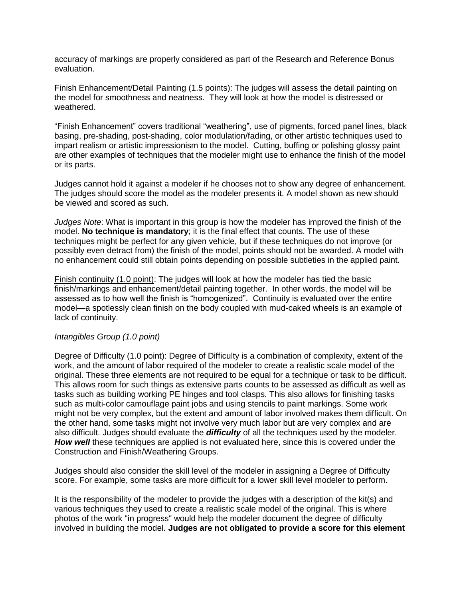accuracy of markings are properly considered as part of the Research and Reference Bonus evaluation.

Finish Enhancement/Detail Painting (1.5 points): The judges will assess the detail painting on the model for smoothness and neatness. They will look at how the model is distressed or weathered.

"Finish Enhancement" covers traditional "weathering", use of pigments, forced panel lines, black basing, pre-shading, post-shading, color modulation/fading, or other artistic techniques used to impart realism or artistic impressionism to the model. Cutting, buffing or polishing glossy paint are other examples of techniques that the modeler might use to enhance the finish of the model or its parts.

Judges cannot hold it against a modeler if he chooses not to show any degree of enhancement. The judges should score the model as the modeler presents it. A model shown as new should be viewed and scored as such.

*Judges Note*: What is important in this group is how the modeler has improved the finish of the model. **No technique is mandatory**; it is the final effect that counts. The use of these techniques might be perfect for any given vehicle, but if these techniques do not improve (or possibly even detract from) the finish of the model, points should not be awarded. A model with no enhancement could still obtain points depending on possible subtleties in the applied paint.

Finish continuity (1.0 point): The judges will look at how the modeler has tied the basic finish/markings and enhancement/detail painting together. In other words, the model will be assessed as to how well the finish is "homogenized". Continuity is evaluated over the entire model—a spotlessly clean finish on the body coupled with mud-caked wheels is an example of lack of continuity.

#### *Intangibles Group (1.0 point)*

Degree of Difficulty (1.0 point): Degree of Difficulty is a combination of complexity, extent of the work, and the amount of labor required of the modeler to create a realistic scale model of the original. These three elements are not required to be equal for a technique or task to be difficult. This allows room for such things as extensive parts counts to be assessed as difficult as well as tasks such as building working PE hinges and tool clasps. This also allows for finishing tasks such as multi-color camouflage paint jobs and using stencils to paint markings. Some work might not be very complex, but the extent and amount of labor involved makes them difficult. On the other hand, some tasks might not involve very much labor but are very complex and are also difficult. Judges should evaluate the *difficulty* of all the techniques used by the modeler. **How well** these techniques are applied is not evaluated here, since this is covered under the Construction and Finish/Weathering Groups.

Judges should also consider the skill level of the modeler in assigning a Degree of Difficulty score. For example, some tasks are more difficult for a lower skill level modeler to perform.

It is the responsibility of the modeler to provide the judges with a description of the kit(s) and various techniques they used to create a realistic scale model of the original. This is where photos of the work "in progress" would help the modeler document the degree of difficulty involved in building the model. **Judges are not obligated to provide a score for this element**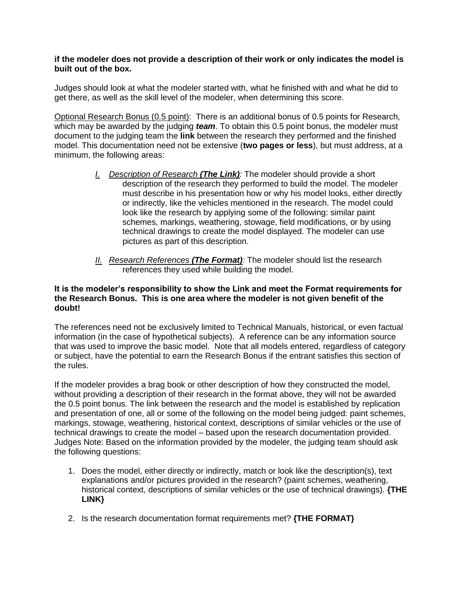### **if the modeler does not provide a description of their work or only indicates the model is built out of the box.**

Judges should look at what the modeler started with, what he finished with and what he did to get there, as well as the skill level of the modeler, when determining this score.

Optional Research Bonus (0.5 point): There is an additional bonus of 0.5 points for Research, which may be awarded by the judging *team*. To obtain this 0.5 point bonus, the modeler must document to the judging team the **link** between the research they performed and the finished model. This documentation need not be extensive (**two pages or less**), but must address, at a minimum, the following areas:

- *I. Description of Research (The Link):* The modeler should provide a short description of the research they performed to build the model. The modeler must describe in his presentation how or why his model looks, either directly or indirectly, like the vehicles mentioned in the research. The model could look like the research by applying some of the following: similar paint schemes, markings, weathering, stowage, field modifications, or by using technical drawings to create the model displayed. The modeler can use pictures as part of this description.
- *II. Research References (The Format):* The modeler should list the research references they used while building the model.

# **It is the modeler's responsibility to show the Link and meet the Format requirements for the Research Bonus. This is one area where the modeler is not given benefit of the doubt!**

The references need not be exclusively limited to Technical Manuals, historical, or even factual information (in the case of hypothetical subjects). A reference can be any information source that was used to improve the basic model. Note that all models entered, regardless of category or subject, have the potential to earn the Research Bonus if the entrant satisfies this section of the rules.

If the modeler provides a brag book or other description of how they constructed the model, without providing a description of their research in the format above, they will not be awarded the 0.5 point bonus. The link between the research and the model is established by replication and presentation of one, all or some of the following on the model being judged: paint schemes, markings, stowage, weathering, historical context, descriptions of similar vehicles or the use of technical drawings to create the model – based upon the research documentation provided. Judges Note: Based on the information provided by the modeler, the judging team should ask the following questions:

- 1. Does the model, either directly or indirectly, match or look like the description(s), text explanations and/or pictures provided in the research? (paint schemes, weathering, historical context, descriptions of similar vehicles or the use of technical drawings). **{THE LINK}**
- 2. Is the research documentation format requirements met? **{THE FORMAT}**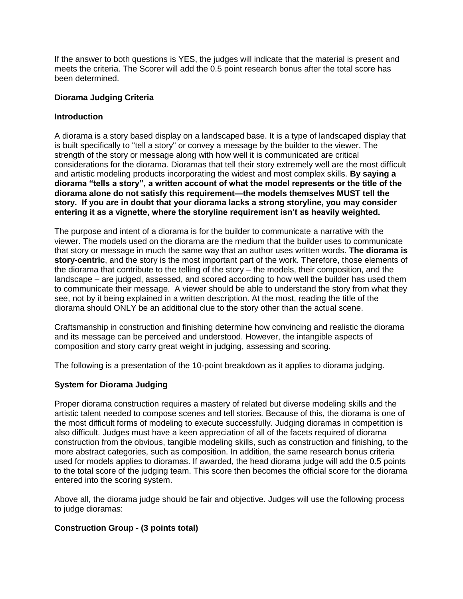If the answer to both questions is YES, the judges will indicate that the material is present and meets the criteria. The Scorer will add the 0.5 point research bonus after the total score has been determined.

### **Diorama Judging Criteria**

### **Introduction**

A diorama is a story based display on a landscaped base. It is a type of landscaped display that is built specifically to "tell a story" or convey a message by the builder to the viewer. The strength of the story or message along with how well it is communicated are critical considerations for the diorama. Dioramas that tell their story extremely well are the most difficult and artistic modeling products incorporating the widest and most complex skills. **By saying a diorama "tells a story", a written account of what the model represents or the title of the diorama alone do not satisfy this requirement—the models themselves MUST tell the story. If you are in doubt that your diorama lacks a strong storyline, you may consider entering it as a vignette, where the storyline requirement isn't as heavily weighted.**

The purpose and intent of a diorama is for the builder to communicate a narrative with the viewer. The models used on the diorama are the medium that the builder uses to communicate that story or message in much the same way that an author uses written words. **The diorama is story-centric**, and the story is the most important part of the work. Therefore, those elements of the diorama that contribute to the telling of the story – the models, their composition, and the landscape – are judged, assessed, and scored according to how well the builder has used them to communicate their message. A viewer should be able to understand the story from what they see, not by it being explained in a written description. At the most, reading the title of the diorama should ONLY be an additional clue to the story other than the actual scene.

Craftsmanship in construction and finishing determine how convincing and realistic the diorama and its message can be perceived and understood. However, the intangible aspects of composition and story carry great weight in judging, assessing and scoring.

The following is a presentation of the 10-point breakdown as it applies to diorama judging.

# **System for Diorama Judging**

Proper diorama construction requires a mastery of related but diverse modeling skills and the artistic talent needed to compose scenes and tell stories. Because of this, the diorama is one of the most difficult forms of modeling to execute successfully. Judging dioramas in competition is also difficult. Judges must have a keen appreciation of all of the facets required of diorama construction from the obvious, tangible modeling skills, such as construction and finishing, to the more abstract categories, such as composition. In addition, the same research bonus criteria used for models applies to dioramas. If awarded, the head diorama judge will add the 0.5 points to the total score of the judging team. This score then becomes the official score for the diorama entered into the scoring system.

Above all, the diorama judge should be fair and objective. Judges will use the following process to judge dioramas:

# **Construction Group - (3 points total)**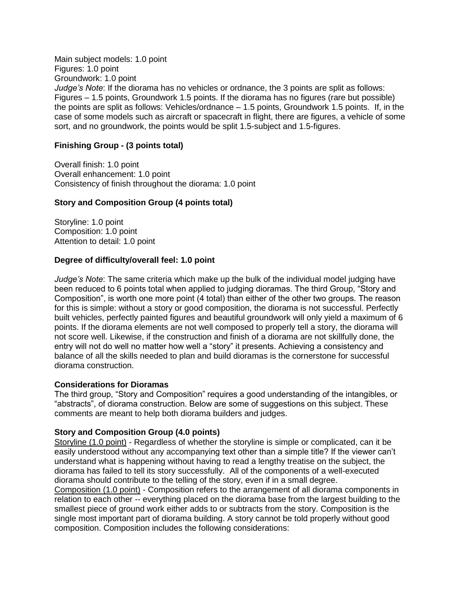Main subject models: 1.0 point Figures: 1.0 point Groundwork: 1.0 point *Judge's Note*: If the diorama has no vehicles or ordnance, the 3 points are split as follows: Figures – 1.5 points, Groundwork 1.5 points. If the diorama has no figures (rare but possible) the points are split as follows: Vehicles/ordnance – 1.5 points, Groundwork 1.5 points. If, in the case of some models such as aircraft or spacecraft in flight, there are figures, a vehicle of some sort, and no groundwork, the points would be split 1.5-subject and 1.5-figures.

### **Finishing Group - (3 points total)**

Overall finish: 1.0 point Overall enhancement: 1.0 point Consistency of finish throughout the diorama: 1.0 point

### **Story and Composition Group (4 points total)**

Storyline: 1.0 point Composition: 1.0 point Attention to detail: 1.0 point

### **Degree of difficulty/overall feel: 1.0 point**

*Judge's Note*: The same criteria which make up the bulk of the individual model judging have been reduced to 6 points total when applied to judging dioramas. The third Group, "Story and Composition", is worth one more point (4 total) than either of the other two groups. The reason for this is simple: without a story or good composition, the diorama is not successful. Perfectly built vehicles, perfectly painted figures and beautiful groundwork will only yield a maximum of 6 points. If the diorama elements are not well composed to properly tell a story, the diorama will not score well. Likewise, if the construction and finish of a diorama are not skillfully done, the entry will not do well no matter how well a "story" it presents. Achieving a consistency and balance of all the skills needed to plan and build dioramas is the cornerstone for successful diorama construction.

#### **Considerations for Dioramas**

The third group, "Story and Composition" requires a good understanding of the intangibles, or "abstracts", of diorama construction. Below are some of suggestions on this subject. These comments are meant to help both diorama builders and judges.

#### **Story and Composition Group (4.0 points)**

Storyline (1.0 point) - Regardless of whether the storyline is simple or complicated, can it be easily understood without any accompanying text other than a simple title? If the viewer can't understand what is happening without having to read a lengthy treatise on the subject, the diorama has failed to tell its story successfully. All of the components of a well-executed diorama should contribute to the telling of the story, even if in a small degree.

Composition (1.0 point) - Composition refers to the arrangement of all diorama components in relation to each other -- everything placed on the diorama base from the largest building to the smallest piece of ground work either adds to or subtracts from the story. Composition is the single most important part of diorama building. A story cannot be told properly without good composition. Composition includes the following considerations: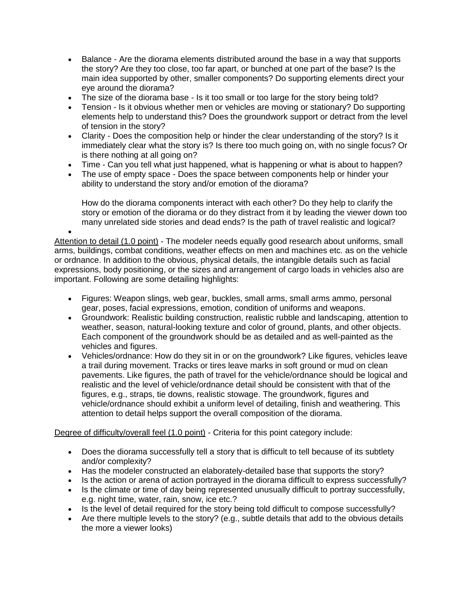- Balance Are the diorama elements distributed around the base in a way that supports the story? Are they too close, too far apart, or bunched at one part of the base? Is the main idea supported by other, smaller components? Do supporting elements direct your eye around the diorama?
- The size of the diorama base Is it too small or too large for the story being told?
- Tension Is it obvious whether men or vehicles are moving or stationary? Do supporting elements help to understand this? Does the groundwork support or detract from the level of tension in the story?
- Clarity Does the composition help or hinder the clear understanding of the story? Is it immediately clear what the story is? Is there too much going on, with no single focus? Or is there nothing at all going on?
- Time Can you tell what just happened, what is happening or what is about to happen?
- The use of empty space Does the space between components help or hinder your ability to understand the story and/or emotion of the diorama?

How do the diorama components interact with each other? Do they help to clarify the story or emotion of the diorama or do they distract from it by leading the viewer down too many unrelated side stories and dead ends? Is the path of travel realistic and logical?

 $\bullet$ Attention to detail (1.0 point) - The modeler needs equally good research about uniforms, small arms, buildings, combat conditions, weather effects on men and machines etc. as on the vehicle or ordnance. In addition to the obvious, physical details, the intangible details such as facial expressions, body positioning, or the sizes and arrangement of cargo loads in vehicles also are important. Following are some detailing highlights:

- Figures: Weapon slings, web gear, buckles, small arms, small arms ammo, personal gear, poses, facial expressions, emotion, condition of uniforms and weapons.
- Groundwork: Realistic building construction, realistic rubble and landscaping, attention to weather, season, natural-looking texture and color of ground, plants, and other objects. Each component of the groundwork should be as detailed and as well-painted as the vehicles and figures.
- Vehicles/ordnance: How do they sit in or on the groundwork? Like figures, vehicles leave a trail during movement. Tracks or tires leave marks in soft ground or mud on clean pavements. Like figures, the path of travel for the vehicle/ordnance should be logical and realistic and the level of vehicle/ordnance detail should be consistent with that of the figures, e.g., straps, tie downs, realistic stowage. The groundwork, figures and vehicle/ordnance should exhibit a uniform level of detailing, finish and weathering. This attention to detail helps support the overall composition of the diorama.

# Degree of difficulty/overall feel (1.0 point) - Criteria for this point category include:

- Does the diorama successfully tell a story that is difficult to tell because of its subtlety and/or complexity?
- Has the modeler constructed an elaborately-detailed base that supports the story?
- Is the action or arena of action portrayed in the diorama difficult to express successfully?
- Is the climate or time of day being represented unusually difficult to portray successfully, e.g. night time, water, rain, snow, ice etc.?
- Is the level of detail required for the story being told difficult to compose successfully?
- Are there multiple levels to the story? (e.g., subtle details that add to the obvious details the more a viewer looks)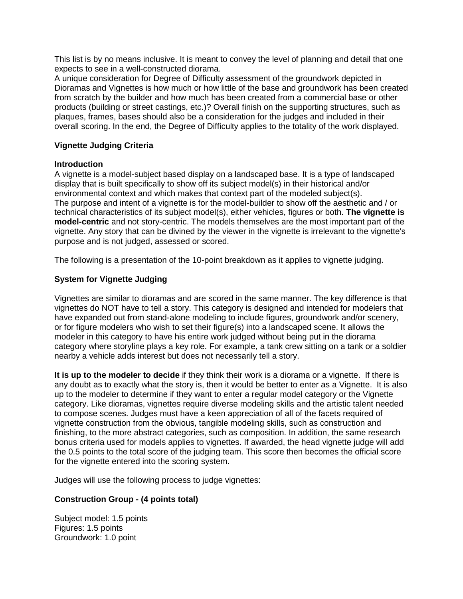This list is by no means inclusive. It is meant to convey the level of planning and detail that one expects to see in a well-constructed diorama.

A unique consideration for Degree of Difficulty assessment of the groundwork depicted in Dioramas and Vignettes is how much or how little of the base and groundwork has been created from scratch by the builder and how much has been created from a commercial base or other products (building or street castings, etc.)? Overall finish on the supporting structures, such as plaques, frames, bases should also be a consideration for the judges and included in their overall scoring. In the end, the Degree of Difficulty applies to the totality of the work displayed.

# **Vignette Judging Criteria**

# **Introduction**

A vignette is a model-subject based display on a landscaped base. It is a type of landscaped display that is built specifically to show off its subject model(s) in their historical and/or environmental context and which makes that context part of the modeled subject(s). The purpose and intent of a vignette is for the model-builder to show off the aesthetic and / or technical characteristics of its subject model(s), either vehicles, figures or both. **The vignette is model-centric** and not story-centric. The models themselves are the most important part of the vignette. Any story that can be divined by the viewer in the vignette is irrelevant to the vignette's purpose and is not judged, assessed or scored.

The following is a presentation of the 10-point breakdown as it applies to vignette judging.

# **System for Vignette Judging**

Vignettes are similar to dioramas and are scored in the same manner. The key difference is that vignettes do NOT have to tell a story. This category is designed and intended for modelers that have expanded out from stand-alone modeling to include figures, groundwork and/or scenery, or for figure modelers who wish to set their figure(s) into a landscaped scene. It allows the modeler in this category to have his entire work judged without being put in the diorama category where storyline plays a key role. For example, a tank crew sitting on a tank or a soldier nearby a vehicle adds interest but does not necessarily tell a story.

**It is up to the modeler to decide** if they think their work is a diorama or a vignette. If there is any doubt as to exactly what the story is, then it would be better to enter as a Vignette. It is also up to the modeler to determine if they want to enter a regular model category or the Vignette category. Like dioramas, vignettes require diverse modeling skills and the artistic talent needed to compose scenes. Judges must have a keen appreciation of all of the facets required of vignette construction from the obvious, tangible modeling skills, such as construction and finishing, to the more abstract categories, such as composition. In addition, the same research bonus criteria used for models applies to vignettes. If awarded, the head vignette judge will add the 0.5 points to the total score of the judging team. This score then becomes the official score for the vignette entered into the scoring system.

Judges will use the following process to judge vignettes:

# **Construction Group - (4 points total)**

Subject model: 1.5 points Figures: 1.5 points Groundwork: 1.0 point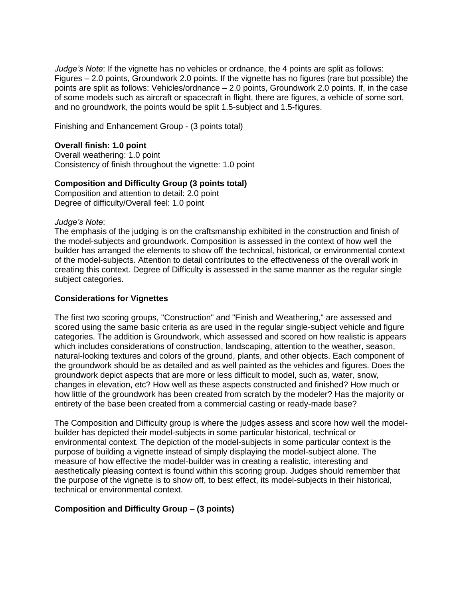*Judge's Note*: If the vignette has no vehicles or ordnance, the 4 points are split as follows: Figures – 2.0 points, Groundwork 2.0 points. If the vignette has no figures (rare but possible) the points are split as follows: Vehicles/ordnance – 2.0 points, Groundwork 2.0 points. If, in the case of some models such as aircraft or spacecraft in flight, there are figures, a vehicle of some sort, and no groundwork, the points would be split 1.5-subject and 1.5-figures.

Finishing and Enhancement Group - (3 points total)

### **Overall finish: 1.0 point**

Overall weathering: 1.0 point Consistency of finish throughout the vignette: 1.0 point

### **Composition and Difficulty Group (3 points total)**

Composition and attention to detail: 2.0 point Degree of difficulty/Overall feel: 1.0 point

#### *Judge's Note*:

The emphasis of the judging is on the craftsmanship exhibited in the construction and finish of the model-subjects and groundwork. Composition is assessed in the context of how well the builder has arranged the elements to show off the technical, historical, or environmental context of the model-subjects. Attention to detail contributes to the effectiveness of the overall work in creating this context. Degree of Difficulty is assessed in the same manner as the regular single subject categories.

### **Considerations for Vignettes**

The first two scoring groups, "Construction" and "Finish and Weathering," are assessed and scored using the same basic criteria as are used in the regular single-subject vehicle and figure categories. The addition is Groundwork, which assessed and scored on how realistic is appears which includes considerations of construction, landscaping, attention to the weather, season, natural-looking textures and colors of the ground, plants, and other objects. Each component of the groundwork should be as detailed and as well painted as the vehicles and figures. Does the groundwork depict aspects that are more or less difficult to model, such as, water, snow, changes in elevation, etc? How well as these aspects constructed and finished? How much or how little of the groundwork has been created from scratch by the modeler? Has the majority or entirety of the base been created from a commercial casting or ready-made base?

The Composition and Difficulty group is where the judges assess and score how well the modelbuilder has depicted their model-subjects in some particular historical, technical or environmental context. The depiction of the model-subjects in some particular context is the purpose of building a vignette instead of simply displaying the model-subject alone. The measure of how effective the model-builder was in creating a realistic, interesting and aesthetically pleasing context is found within this scoring group. Judges should remember that the purpose of the vignette is to show off, to best effect, its model-subjects in their historical, technical or environmental context.

#### **Composition and Difficulty Group – (3 points)**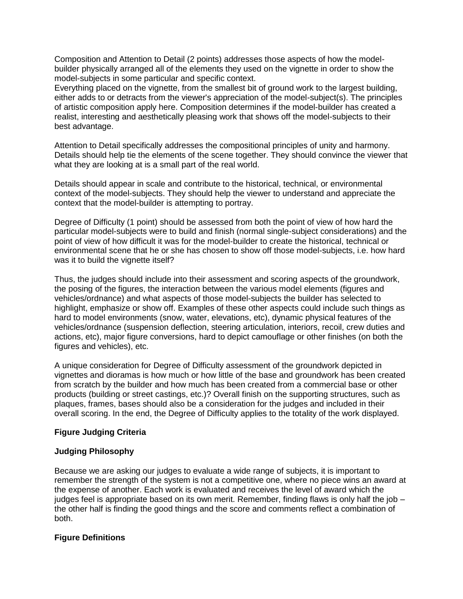Composition and Attention to Detail (2 points) addresses those aspects of how the modelbuilder physically arranged all of the elements they used on the vignette in order to show the model-subjects in some particular and specific context.

Everything placed on the vignette, from the smallest bit of ground work to the largest building, either adds to or detracts from the viewer's appreciation of the model-subject(s). The principles of artistic composition apply here. Composition determines if the model-builder has created a realist, interesting and aesthetically pleasing work that shows off the model-subjects to their best advantage.

Attention to Detail specifically addresses the compositional principles of unity and harmony. Details should help tie the elements of the scene together. They should convince the viewer that what they are looking at is a small part of the real world.

Details should appear in scale and contribute to the historical, technical, or environmental context of the model-subjects. They should help the viewer to understand and appreciate the context that the model-builder is attempting to portray.

Degree of Difficulty (1 point) should be assessed from both the point of view of how hard the particular model-subjects were to build and finish (normal single-subject considerations) and the point of view of how difficult it was for the model-builder to create the historical, technical or environmental scene that he or she has chosen to show off those model-subjects, i.e. how hard was it to build the vignette itself?

Thus, the judges should include into their assessment and scoring aspects of the groundwork, the posing of the figures, the interaction between the various model elements (figures and vehicles/ordnance) and what aspects of those model-subjects the builder has selected to highlight, emphasize or show off. Examples of these other aspects could include such things as hard to model environments (snow, water, elevations, etc), dynamic physical features of the vehicles/ordnance (suspension deflection, steering articulation, interiors, recoil, crew duties and actions, etc), major figure conversions, hard to depict camouflage or other finishes (on both the figures and vehicles), etc.

A unique consideration for Degree of Difficulty assessment of the groundwork depicted in vignettes and dioramas is how much or how little of the base and groundwork has been created from scratch by the builder and how much has been created from a commercial base or other products (building or street castings, etc.)? Overall finish on the supporting structures, such as plaques, frames, bases should also be a consideration for the judges and included in their overall scoring. In the end, the Degree of Difficulty applies to the totality of the work displayed.

# **Figure Judging Criteria**

# **Judging Philosophy**

Because we are asking our judges to evaluate a wide range of subjects, it is important to remember the strength of the system is not a competitive one, where no piece wins an award at the expense of another. Each work is evaluated and receives the level of award which the judges feel is appropriate based on its own merit. Remember, finding flaws is only half the job – the other half is finding the good things and the score and comments reflect a combination of both.

#### **Figure Definitions**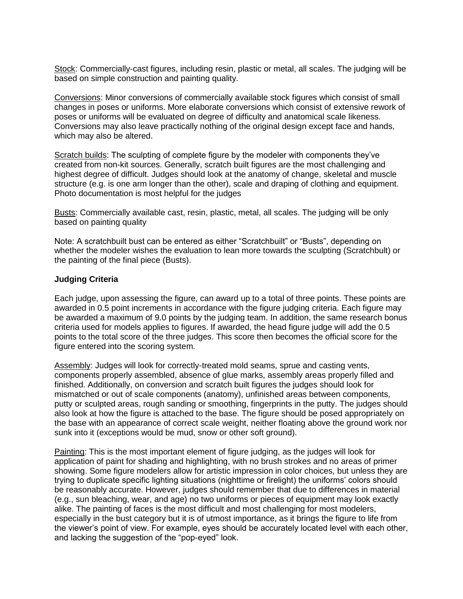Stock: Commercially-cast figures, including resin, plastic or metal, all scales. The judging will be based on simple construction and painting quality.

Conversions: Minor conversions of commercially available stock figures which consist of small changes in poses or uniforms. More elaborate conversions which consist of extensive rework of poses or uniforms will be evaluated on degree of difficulty and anatomical scale likeness. Conversions may also leave practically nothing of the original design except face and hands, which may also be altered.

Scratch builds: The sculpting of complete figure by the modeler with components they've created from non-kit sources. Generally, scratch built figures are the most challenging and highest degree of difficult. Judges should look at the anatomy of change, skeletal and muscle structure (e.g. is one arm longer than the other), scale and draping of clothing and equipment. Photo documentation is most helpful for the judges

Busts: Commercially available cast, resin, plastic, metal, all scales. The judging will be only based on painting quality

Note: A scratchbuilt bust can be entered as either "Scratchbuilt" or "Busts", depending on whether the modeler wishes the evaluation to lean more towards the sculpting (Scratchbult) or the painting of the final piece (Busts).

#### **Judging Criteria**

Each judge, upon assessing the figure, can award up to a total of three points. These points are awarded in 0.5 point increments in accordance with the figure judging criteria. Each figure may be awarded a maximum of 9.0 points by the judging team. In addition, the same research bonus criteria used for models applies to figures. If awarded, the head figure judge will add the 0.5 points to the total score of the three judges. This score then becomes the official score for the figure entered into the scoring system.

Assembly: Judges will look for correctly-treated mold seams, sprue and casting vents, components properly assembled, absence of glue marks, assembly areas properly filled and finished. Additionally, on conversion and scratch built figures the judges should look for mismatched or out of scale components (anatomy), unfinished areas between components, putty or sculpted areas, rough sanding or smoothing, fingerprints in the putty. The judges should also look at how the figure is attached to the base. The figure should be posed appropriately on the base with an appearance of correct scale weight, neither floating above the ground work nor sunk into it (exceptions would be mud, snow or other soft ground).

Painting: This is the most important element of figure judging, as the judges will look for application of paint for shading and highlighting, with no brush strokes and no areas of primer showing. Some figure modelers allow for artistic impression in color choices, but unless they are trying to duplicate specific lighting situations (nighttime or firelight) the uniforms' colors should be reasonably accurate. However, judges should remember that due to differences in material (e.g., sun bleaching, wear, and age) no two uniforms or pieces of equipment may look exactly alike. The painting of faces is the most difficult and most challenging for most modelers, especially in the bust category but it is of utmost importance, as it brings the figure to life from the viewer's point of view. For example, eyes should be accurately located level with each other, and lacking the suggestion of the "pop-eyed" look.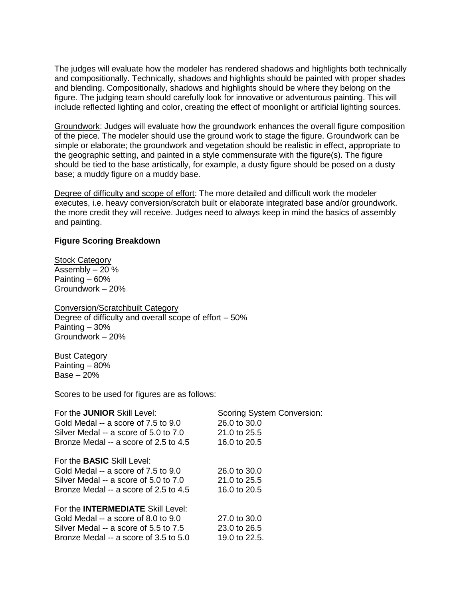The judges will evaluate how the modeler has rendered shadows and highlights both technically and compositionally. Technically, shadows and highlights should be painted with proper shades and blending. Compositionally, shadows and highlights should be where they belong on the figure. The judging team should carefully look for innovative or adventurous painting. This will include reflected lighting and color, creating the effect of moonlight or artificial lighting sources.

Groundwork: Judges will evaluate how the groundwork enhances the overall figure composition of the piece. The modeler should use the ground work to stage the figure. Groundwork can be simple or elaborate; the groundwork and vegetation should be realistic in effect, appropriate to the geographic setting, and painted in a style commensurate with the figure(s). The figure should be tied to the base artistically, for example, a dusty figure should be posed on a dusty base; a muddy figure on a muddy base.

Degree of difficulty and scope of effort: The more detailed and difficult work the modeler executes, i.e. heavy conversion/scratch built or elaborate integrated base and/or groundwork. the more credit they will receive. Judges need to always keep in mind the basics of assembly and painting.

#### **Figure Scoring Breakdown**

**Stock Category** Assembly – 20 % Painting – 60% Groundwork – 20%

Conversion/Scratchbuilt Category Degree of difficulty and overall scope of effort – 50% Painting – 30% Groundwork – 20%

Bust Category Painting – 80% Base – 20%

Scores to be used for figures are as follows:

| For the <b>JUNIOR</b> Skill Level:<br>Gold Medal -- a score of 7.5 to 9.0 | Scoring System Conversion:<br>26.0 to 30.0 |
|---------------------------------------------------------------------------|--------------------------------------------|
| Silver Medal -- a score of 5.0 to 7.0                                     | $21.0 \text{ to } 25.5$                    |
| Bronze Medal -- a score of 2.5 to 4.5                                     | 16.0 to 20.5                               |
| For the <b>BASIC</b> Skill Level:                                         |                                            |
| Gold Medal -- a score of 7.5 to 9.0                                       | 26.0 to 30.0                               |
| Silver Medal -- a score of 5.0 to 7.0                                     | 21.0 to 25.5                               |
| Bronze Medal -- a score of 2.5 to 4.5                                     | 16.0 to 20.5                               |
| For the <b>INTERMEDIATE</b> Skill Level:                                  |                                            |
| Gold Medal -- a score of 8.0 to 9.0                                       | 27.0 to 30.0                               |
| Silver Medal -- a score of 5.5 to 7.5                                     | 23.0 to 26.5                               |
| Bronze Medal -- a score of 3.5 to 5.0                                     | 19.0 to 22.5.                              |